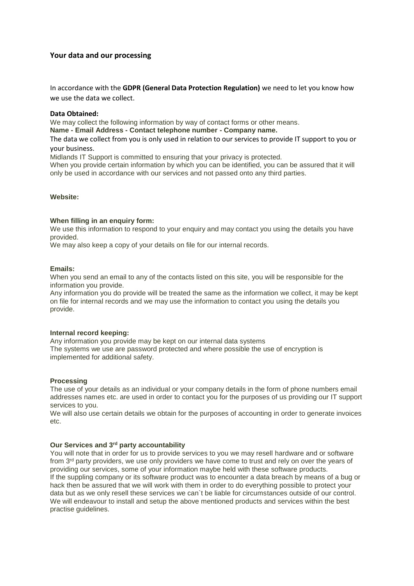# **Your data and our processing**

In accordance with the **GDPR (General Data Protection Regulation)** we need to let you know how we use the data we collect.

## **Data Obtained:**

We may collect the following information by way of contact forms or other means.

**Name - Email Address - Contact telephone number - Company name.**

The data we collect from you is only used in relation to our services to provide IT support to you or your business.

Midlands IT Support is committed to ensuring that your privacy is protected.

When you provide certain information by which you can be identified, you can be assured that it will only be used in accordance with our services and not passed onto any third parties.

# **Website:**

## **When filling in an enquiry form:**

We use this information to respond to your enquiry and may contact you using the details you have provided.

We may also keep a copy of your details on file for our internal records.

### **Emails:**

When you send an email to any of the contacts listed on this site, you will be responsible for the information you provide.

Any information you do provide will be treated the same as the information we collect, it may be kept on file for internal records and we may use the information to contact you using the details you provide.

# **Internal record keeping:**

Any information you provide may be kept on our internal data systems The systems we use are password protected and where possible the use of encryption is implemented for additional safety.

#### **Processing**

The use of your details as an individual or your company details in the form of phone numbers email addresses names etc. are used in order to contact you for the purposes of us providing our IT support services to you.

We will also use certain details we obtain for the purposes of accounting in order to generate invoices etc.

# **Our Services and 3rd party accountability**

You will note that in order for us to provide services to you we may resell hardware and or software from 3<sup>rd</sup> party providers, we use only providers we have come to trust and rely on over the years of providing our services, some of your information maybe held with these software products. If the suppling company or its software product was to encounter a data breach by means of a bug or hack then be assured that we will work with them in order to do everything possible to protect your data but as we only resell these services we can`t be liable for circumstances outside of our control. We will endeavour to install and setup the above mentioned products and services within the best practise guidelines.